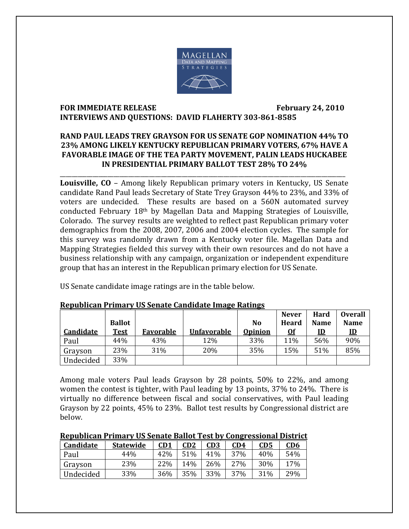

#### **FOR IMMEDIATE RELEASE February 24, 2010 INTERVIEWS AND QUESTIONS: DAVID FLAHERTY 3038618585**

#### **RAND PAUL LEADS TREY GRAYSON FOR US SENATE GOP NOMINATION 44% TO 23% AMONG LIKELY KENTUCKY REPUBLICAN PRIMARY VOTERS, 67% HAVE A FAVORABLE IMAGE OF THE TEA PARTY MOVEMENT, PALIN LEADS HUCKABEE IN PRESIDENTIAL PRIMARY BALLOT TEST 28% TO 24%**

\_\_\_\_\_\_\_\_\_\_\_\_\_\_\_\_\_\_\_\_\_\_\_\_\_\_\_\_\_\_\_\_\_\_\_\_\_\_\_\_\_\_\_\_\_\_\_\_\_\_\_\_\_\_\_\_\_\_\_\_\_\_\_\_\_\_\_\_\_\_\_\_\_\_\_\_\_\_\_\_\_\_\_\_\_\_\_\_\_\_\_\_\_\_\_\_

**Louisville, CO** – Among likely Republican primary voters in Kentucky, US Senate candidate Rand Paul leads Secretary of State Trey Grayson 44% to 23%, and 33% of voters are undecided. These results are based on a 560N automated survey conducted February 18th by Magellan Data and Mapping Strategies of Louisville, Colorado. The survey results are weighted to reflect past Republican primary voter demographics from the 2008, 2007, 2006 and 2004 election cycles. The sample for this survey was randomly drawn from a Kentucky voter file. Magellan Data and Mapping Strategies fielded this survey with their own resources and do not have a business relationship with any campaign, organization or independent expenditure group that has an interest in the Republican primary election for US Senate.

US Senate candidate image ratings are in the table below.

|           |               |                  |                    |                | <b>Never</b> | Hard        | <b>Overall</b> |
|-----------|---------------|------------------|--------------------|----------------|--------------|-------------|----------------|
|           | <b>Ballot</b> |                  |                    | No             | Heard        | <b>Name</b> | <b>Name</b>    |
| Candidate | <b>Test</b>   | <b>Favorable</b> | <b>Unfavorable</b> | <b>Opinion</b> | <u>Of</u>    | <u>ID</u>   | $\mathbf{D}$   |
| Paul      | 44%           | 43%              | 12%                | 33%            | 11%          | 56%         | 90%            |
| Grayson   | 23%           | 31%              | 20%                | 35%            | 15%          | 51%         | 85%            |
| Undecided | 33%           |                  |                    |                |              |             |                |

#### **Republican Primary US Senate Candidate Image Ratings**

Among male voters Paul leads Grayson by 28 points, 50% to 22%, and among women the contest is tighter, with Paul leading by 13 points, 37% to 24%. There is virtually no difference between fiscal and social conservatives, with Paul leading Grayson by 22 points, 45% to 23%. Ballot test results by Congressional district are below.

| <b>Republican Primary US Senate Ballot Test by Congressional District</b> |  |  |  |
|---------------------------------------------------------------------------|--|--|--|
|                                                                           |  |  |  |

| Candidate | <b>Statewide</b> | CD1 | CD2 | CD3 | <u>CD4</u> | <u>CD5</u> | <u>CD6</u> |
|-----------|------------------|-----|-----|-----|------------|------------|------------|
| Paul      | 44%              | 42% | 51% | 41% | 37%        | 40%        | 54%        |
| Grayson   | 23%              | 22% | 14% | 26% | 27%        | 30%        | 17%        |
| Undecided | 33%              | 36% | 35% | 33% | 37%        | 31%        | 29%        |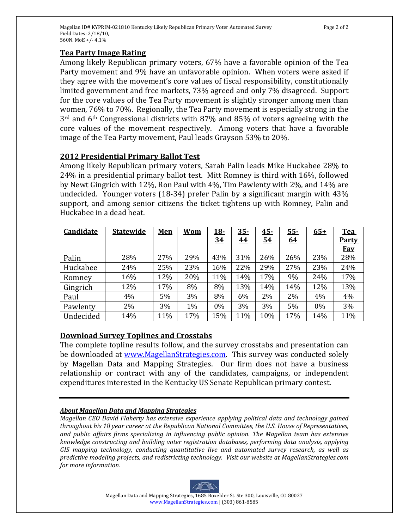### **Tea Party Image Rating**

Among likely Republican primary voters, 67% have a favorable opinion of the Tea Party movement and 9% have an unfavorable opinion. When voters were asked if they agree with the movement's core values of fiscal responsibility, constitutionally limited government and free markets, 73% agreed and only 7% disagreed. Support for the core values of the Tea Party movement is slightly stronger among men than women, 76% to 70%. Regionally, the Tea Party movement is especially strong in the 3rd and 6th Congressional districts with 87% and 85% of voters agreeing with the core values of the movement respectively. Among voters that have a favorable image of the Tea Party movement, Paul leads Grayson 53% to 20%.

## **2012 Presidential Primary Ballot Test**

Among likely Republican primary voters, Sarah Palin leads Mike Huckabee 28% to 24% in a presidential primary ballot test. Mitt Romney is third with 16%, followed by Newt Gingrich with 12%, Ron Paul with 4%, Tim Pawlenty with 2%, and 14% are undecided. Younger voters (18-34) prefer Palin by a significant margin with 43% support, and among senior citizens the ticket tightens up with Romney, Palin and Huckabee in a dead heat.

| <b>Candidate</b> | <b>Statewide</b> | Men | <b>Wom</b> | <u> 18-</u> | $35 -$    | $45-$     | $55 -$    | $65+$ | <b>Tea</b>   |
|------------------|------------------|-----|------------|-------------|-----------|-----------|-----------|-------|--------------|
|                  |                  |     |            | <u>34</u>   | <u>44</u> | <u>54</u> | <u>64</u> |       | <b>Party</b> |
|                  |                  |     |            |             |           |           |           |       | <b>Fav</b>   |
| Palin            | 28%              | 27% | 29%        | 43%         | 31%       | 26%       | 26%       | 23%   | 28%          |
| Huckabee         | 24%              | 25% | 23%        | 16%         | 22%       | 29%       | 27%       | 23%   | 24%          |
| Romney           | 16%              | 12% | 20%        | 11%         | 14%       | 17%       | 9%        | 24%   | 17%          |
| Gingrich         | 12%              | 17% | 8%         | 8%          | 13%       | 14%       | 14%       | 12%   | 13%          |
| Paul             | 4%               | 5%  | 3%         | 8%          | 6%        | 2%        | $2\%$     | 4%    | 4%           |
| Pawlenty         | 2%               | 3%  | 1%         | 0%          | 3%        | 3%        | 5%        | 0%    | 3%           |
| Undecided        | 14%              | 11% | 17%        | 15%         | 11%       | 10%       | 17%       | 14%   | 11%          |

### **Download Survey Toplines and Crosstabs**

The complete topline results follow, and the survey crosstabs and presentation can be downloaded at www.MagellanStrategies.com. This survey was conducted solely by Magellan Data and Mapping Strategies. Our firm does not have a business relationship or contract with any of the candidates, campaigns, or independent expenditures interested in the Kentucky US Senate Republican primary contest.

#### *About Magellan Data and Mapping Strategies*

*Magellan CEO David Flaherty has extensive experience applying political data and technology gained throughout his 18 year career at the Republican National Committee, the U.S. House of Representatives, and public affairs firms specializing in influencing public opinion. The Magellan team has extensive knowledge constructing and building voter registration databases, performing data analysis, applying GIS mapping technology, conducting quantitative live and automated survey research, as well as predictive modeling projects, and redistricting technology. Visit our website at MagellanStrategies.com for more information.* 

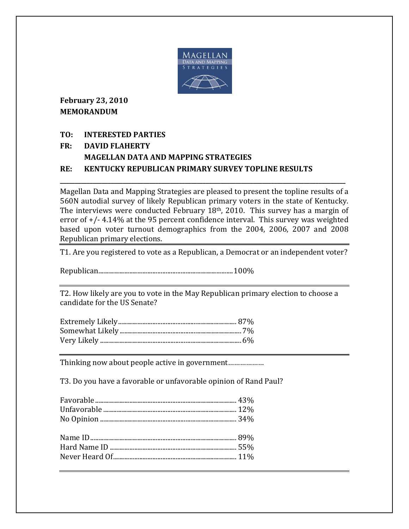

**February 23, 2010 MEMORANDUM**

### **TO: INTERESTED PARTIES**

# **FR: DAVID FLAHERTY MAGELLAN DATA AND MAPPING STRATEGIES RE: KENTUCKY REPUBLICAN PRIMARY SURVEY TOPLINE RESULTS**

Magellan Data and Mapping Strategies are pleased to present the topline results of a 560N autodial survey of likely Republican primary voters in the state of Kentucky. The interviews were conducted February 18th, 2010. This survey has a margin of error of +/- 4.14% at the 95 percent confidence interval. This survey was weighted based upon voter turnout demographics from the 2004, 2006, 2007 and 2008 Republican primary elections.

**\_\_\_\_\_\_\_\_\_\_\_\_\_\_\_\_\_\_\_\_\_\_\_\_\_\_\_\_\_\_\_\_\_\_\_\_\_\_\_\_\_\_\_\_\_\_\_\_\_\_\_\_\_\_\_\_\_\_\_\_\_\_\_\_\_\_\_\_\_\_\_\_\_\_\_\_\_\_\_\_\_\_\_\_\_\_\_\_\_\_\_\_\_\_\_\_**

T1. Are you registered to vote as a Republican, a Democrat or an independent voter?

Republican.................................................................................. 100%

T2. How likely are you to vote in the May Republican primary election to choose a candidate for the US Senate?

Thinking now about people active in government………………

T3. Do you have a favorable or unfavorable opinion of Rand Paul?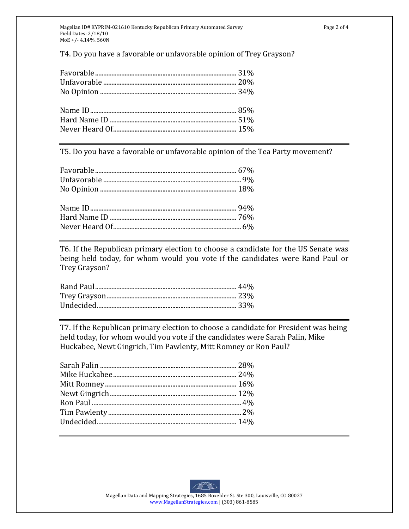Magellan ID# KYPRIM-021610 Kentucky Republican Primary Automated Survey **Page 2 of 4** Page 2 of 4 Field Dates: 2/18/10 MoE +/‐ 4.14%, 560N

T4. Do you have a favorable or unfavorable opinion of Trey Grayson?

T5. Do you have a favorable or unfavorable opinion of the Tea Party movement?

T6. If the Republican primary election to choose a candidate for the US Senate was being held today, for whom would you vote if the candidates were Rand Paul or Trey Grayson?

T7. If the Republican primary election to choose a candidate for President was being held today, for whom would you vote if the candidates were Sarah Palin, Mike Huckabee, Newt Gingrich, Tim Pawlenty, Mitt Romney or Ron Paul?

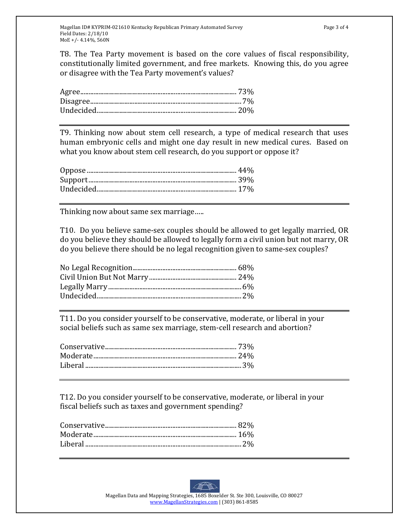T8. The Tea Party movement is based on the core values of fiscal responsibility, constitutionally limited government, and free markets. Knowing this, do you agree or disagree with the Tea Party movement's values?

T9. Thinking now about stem cell research, a type of medical research that uses human embryonic cells and might one day result in new medical cures. Based on what you know about stem cell research, do you support or oppose it?

Thinking now about same sex marriage…..

T10. Do you believe same‐sex couples should be allowed to get legally married, OR do you believe they should be allowed to legally form a civil union but not marry, OR do you believe there should be no legal recognition given to same‐sex couples?

T11. Do you consider yourself to be conservative, moderate, or liberal in your social beliefs such as same sex marriage, stem-cell research and abortion?

T12. Do you consider yourself to be conservative, moderate, or liberal in your fiscal beliefs such as taxes and government spending?